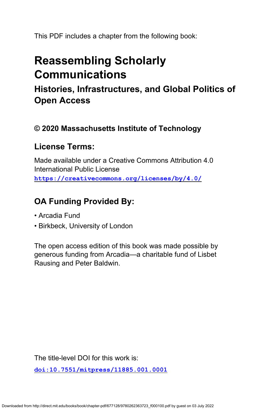This PDF includes a chapter from the following book:

# **Reassembling Scholarly Communications**

**Histories, Infrastructures, and Global Politics of Open Access**

### **© 2020 Massachusetts Institute of Technology**

### **License Terms:**

Made available under a Creative Commons Attribution 4.0 International Public License **<https://creativecommons.org/licenses/by/4.0/>**

## **OA Funding Provided By:**

- Arcadia Fund
- Birkbeck, University of London

The open access edition of this book was made possible by generous funding from Arcadia—a charitable fund of Lisbet Rausing and Peter Baldwin.

The title-level DOI for this work is:

**[doi:10.7551/mitpress/11885.001.0001](https://doi.org/10.7551/mitpress/11885.001.0001)**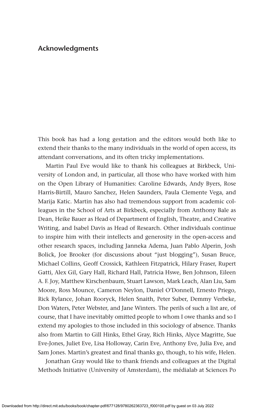#### **Acknowledgments**

This book has had a long gestation and the editors would both like to extend their thanks to the many individuals in the world of open access, its attendant conversations, and its often tricky implementations.

Martin Paul Eve would like to thank his colleagues at Birkbeck, University of London and, in particular, all those who have worked with him on the Open Library of Humanities: Caroline Edwards, Andy Byers, Rose Harris-Birtill, Mauro Sanchez, Helen Saunders, Paula Clemente Vega, and Marija Katic. Martin has also had tremendous support from academic colleagues in the School of Arts at Birkbeck, especially from Anthony Bale as Dean, Heike Bauer as Head of Department of English, Theatre, and Creative Writing, and Isabel Davis as Head of Research. Other individuals continue to inspire him with their intellects and generosity in the open-access and other research spaces, including Janneka Adema, Juan Pablo Alperin, Josh Bolick, Joe Brooker (for discussions about "just blogging"), Susan Bruce, Michael Collins, Geoff Crossick, Kathleen Fitzpatrick, Hilary Fraser, Rupert Gatti, Alex Gil, Gary Hall, Richard Hall, Patricia Hswe, Ben Johnson, Eileen A. F. Joy, Matthew Kirschenbaum, Stuart Lawson, Mark Leach, Alan Liu, Sam Moore, Ross Mounce, Cameron Neylon, Daniel O'Donnell, Ernesto Priego, Rick Rylance, Johan Rooryck, Helen Snaith, Peter Suber, Demmy Verbeke, Don Waters, Peter Webster, and Jane Winters. The perils of such a list are, of course, that I have inevitably omitted people to whom I owe thanks and so I extend my apologies to those included in this sociology of absence. Thanks also from Martin to Gill Hinks, Ethel Gray, Rich Hinks, Alyce Magritte, Sue Eve-Jones, Juliet Eve, Lisa Holloway, Carin Eve, Anthony Eve, Julia Eve, and Sam Jones. Martin's greatest and final thanks go, though, to his wife, Helen.

Jonathan Gray would like to thank friends and colleagues at the Digital Methods Initiative (University of Amsterdam), the médialab at Sciences Po